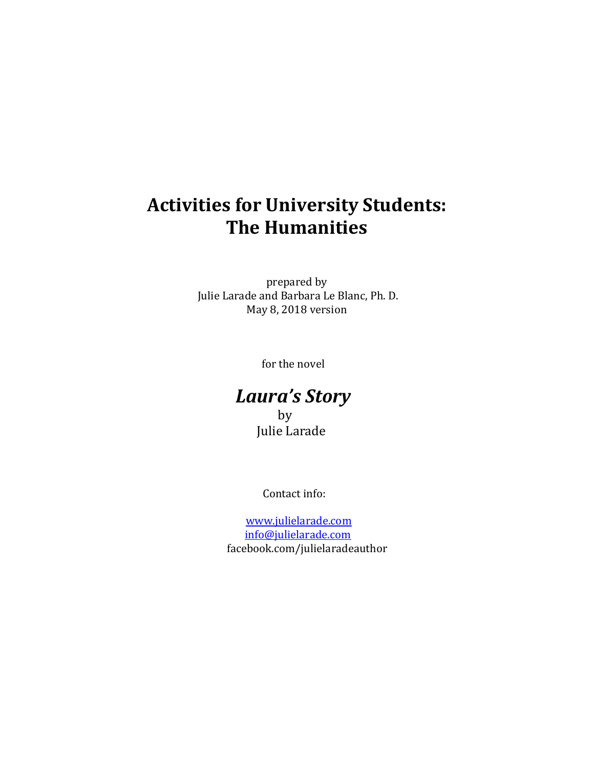# **Activities for University Students: The Humanities**

prepared by Julie Larade and Barbara Le Blanc, Ph. D. May 8, 2018 version

for the novel

# *Laura's Story*

 by Julie Larade

Contact info:

 [www.julielarade.com](http://www.julielarade.com/) [info@julielarade.com](mailto:info@julielarade.com) facebook.com/julielaradeauthor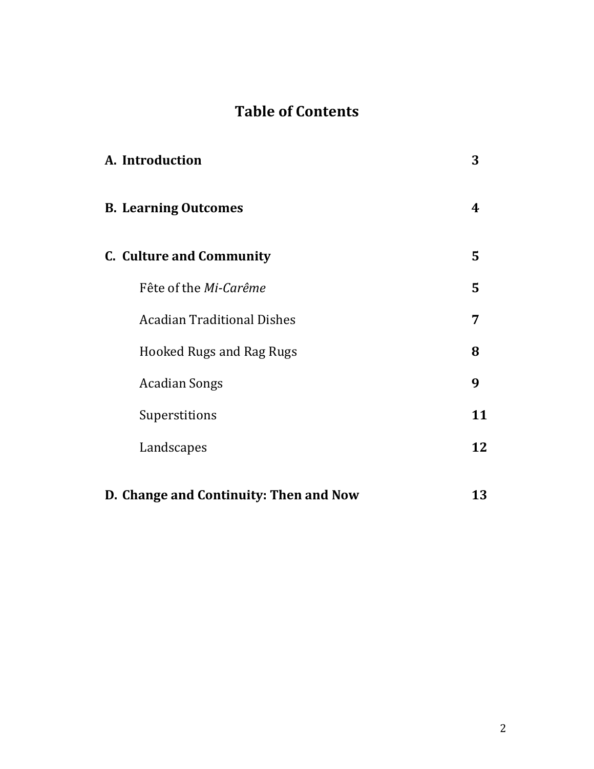# **Table of Contents**

| A. Introduction                        | 3  |
|----------------------------------------|----|
| <b>B. Learning Outcomes</b>            | 4  |
| <b>C.</b> Culture and Community        | 5  |
| Fête of the Mi-Carême                  | 5  |
| <b>Acadian Traditional Dishes</b>      | 7  |
| <b>Hooked Rugs and Rag Rugs</b>        | 8  |
| <b>Acadian Songs</b>                   | 9  |
| Superstitions                          | 11 |
| Landscapes                             | 12 |
| D. Change and Continuity: Then and Now | 13 |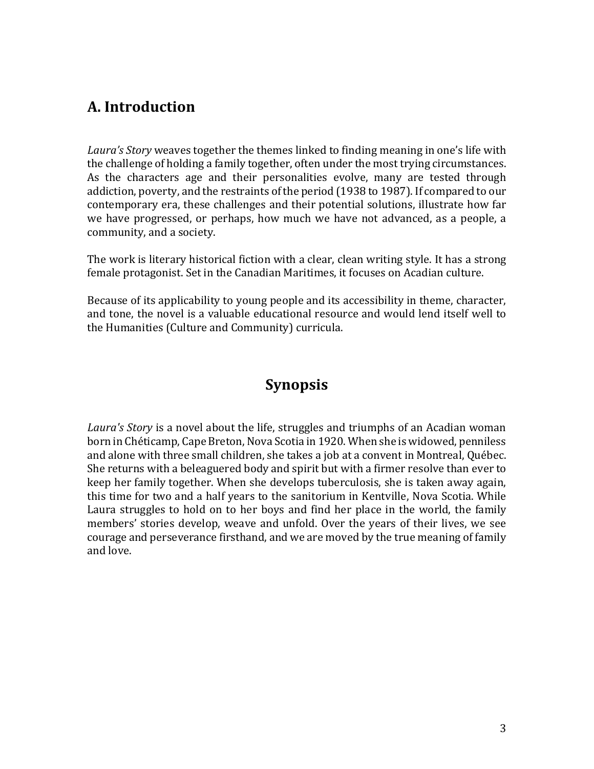### **A. Introduction**

*Laura's Story* weaves together the themes linked to finding meaning in one's life with the challenge of holding a family together, often under the most trying circumstances. As the characters age and their personalities evolve, many are tested through addiction, poverty, and the restraints of the period (1938 to 1987). If compared to our contemporary era, these challenges and their potential solutions, illustrate how far we have progressed, or perhaps, how much we have not advanced, as a people, a community, and a society.

The work is literary historical fiction with a clear, clean writing style. It has a strong female protagonist. Set in the Canadian Maritimes, it focuses on Acadian culture.

Because of its applicability to young people and its accessibility in theme, character, and tone, the novel is a valuable educational resource and would lend itself well to the Humanities (Culture and Community) curricula.

### **Synopsis**

*Laura's Story* is a novel about the life, struggles and triumphs of an Acadian woman born in Chéticamp, Cape Breton, Nova Scotia in 1920. When she is widowed, penniless and alone with three small children, she takes a job at a convent in Montreal, Québec. She returns with a beleaguered body and spirit but with a firmer resolve than ever to keep her family together. When she develops tuberculosis, she is taken away again, this time for two and a half years to the sanitorium in Kentville, Nova Scotia. While Laura struggles to hold on to her boys and find her place in the world, the family members' stories develop, weave and unfold. Over the years of their lives, we see courage and perseverance firsthand, and we are moved by the true meaning of family and love.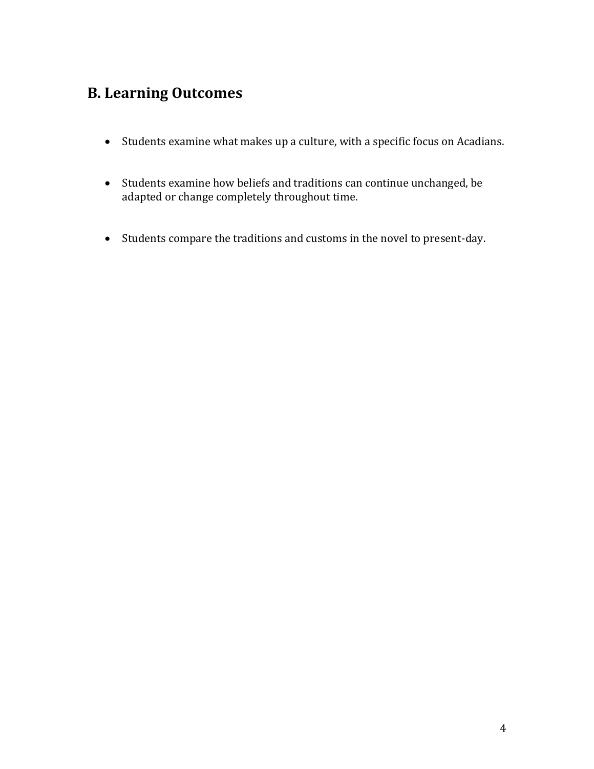### **B. Learning Outcomes**

- Students examine what makes up a culture, with a specific focus on Acadians.
- Students examine how beliefs and traditions can continue unchanged, be adapted or change completely throughout time.
- Students compare the traditions and customs in the novel to present-day.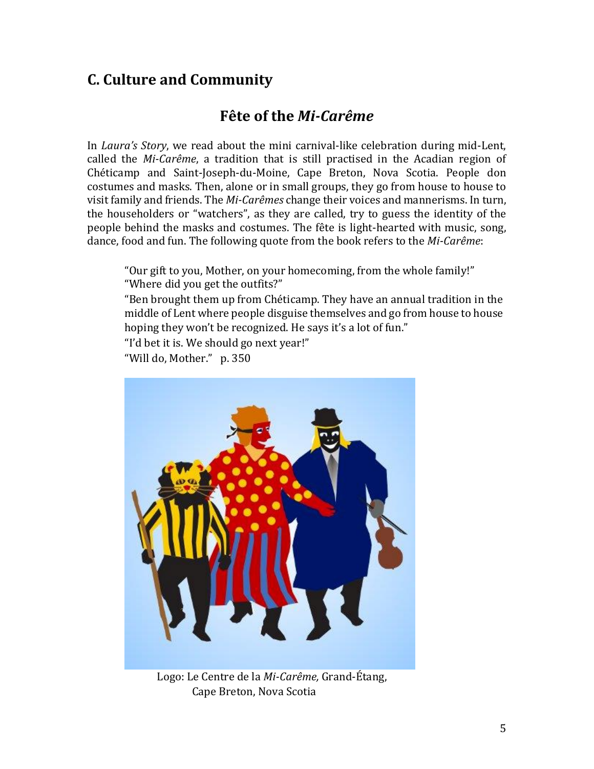### **C. Culture and Community**

### **Fête of the** *Mi-Carême*

In *Laura's Story*, we read about the mini carnival-like celebration during mid-Lent, called the *Mi-Carême*, a tradition that is still practised in the Acadian region of Chéticamp and Saint-Joseph-du-Moine, Cape Breton, Nova Scotia. People don costumes and masks. Then, alone or in small groups, they go from house to house to visit family and friends. The *Mi-Carêmes* change their voices and mannerisms. In turn, the householders or "watchers", as they are called, try to guess the identity of the people behind the masks and costumes. The fête is light-hearted with music, song, dance, food and fun. The following quote from the book refers to the *Mi-Carême*:

"Our gift to you, Mother, on your homecoming, from the whole family!" "Where did you get the outfits?"

"Ben brought them up from Chéticamp. They have an annual tradition in the middle of Lent where people disguise themselves and go from house to house hoping they won't be recognized. He says it's a lot of fun."

"I'd bet it is. We should go next year!"

"Will do, Mother." p. 350



Logo: Le Centre de la *Mi-Carême,* Grand-Étang, Cape Breton, Nova Scotia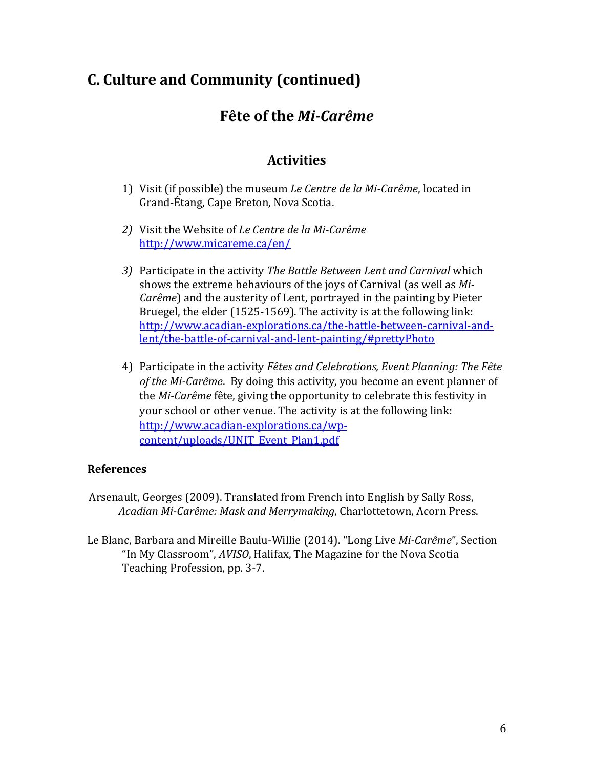### **Fête of the** *Mi-Carême*

### **Activities**

- 1) Visit (if possible) the museum *Le Centre de la Mi-Carême*, located in Grand-Étang, Cape Breton, Nova Scotia.
- *2)* Visit the Website of *Le Centre de la Mi-Carême*  <http://www.micareme.ca/en/>
- *3)* Participate in the activity *The Battle Between Lent and Carnival* which shows the extreme behaviours of the joys of Carnival (as well as *Mi-Carême*) and the austerity of Lent, portrayed in the painting by Pieter Bruegel, the elder (1525-1569). The activity is at the following link: [http://www.acadian-explorations.ca/the-battle-between-carnival-and](http://www.acadian-explorations.ca/the-battle-between-carnival-and-lent/the-battle-of-carnival-and-lent-painting/#prettyPhoto)[lent/the-battle-of-carnival-and-lent-painting/#prettyPhoto](http://www.acadian-explorations.ca/the-battle-between-carnival-and-lent/the-battle-of-carnival-and-lent-painting/#prettyPhoto)
- 4) Participate in the activity *Fêtes and Celebrations, Event Planning: The Fête of the Mi-Carême*. By doing this activity, you become an event planner of the *Mi-Carême* fête, giving the opportunity to celebrate this festivity in your school or other venue. The activity is at the following link: [http://www.acadian-explorations.ca/wp](http://www.acadian-explorations.ca/wp-content/uploads/UNIT_Event_Plan1.pdf)[content/uploads/UNIT\\_Event\\_Plan1.pdf](http://www.acadian-explorations.ca/wp-content/uploads/UNIT_Event_Plan1.pdf)

#### **References**

- Arsenault, Georges (2009). Translated from French into English by Sally Ross, *Acadian Mi-Carême: Mask and Merrymaking*, Charlottetown, Acorn Press.
- Le Blanc, Barbara and Mireille Baulu-Willie (2014). "Long Live *Mi-Carême*", Section "In My Classroom", *AVISO*, Halifax, The Magazine for the Nova Scotia Teaching Profession, pp. 3-7.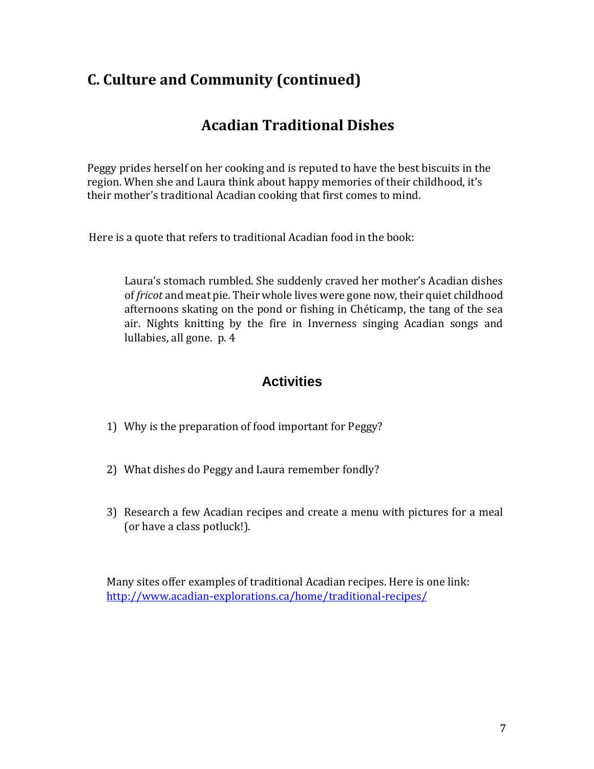### **Acadian Traditional Dishes**

Peggy prides herself on her cooking and is reputed to have the best biscuits in the region. When she and Laura think about happy memories of their childhood, it's their mother's traditional Acadian cooking that first comes to mind.

Here is a quote that refers to traditional Acadian food in the book:

Laura's stomach rumbled. She suddenly craved her mother's Acadian dishes of *fricot* and meat pie. Their whole lives were gone now, their quiet childhood afternoons skating on the pond or fishing in Chéticamp, the tang of the sea air. Nights knitting by the fire in Inverness singing Acadian songs and lullabies, all gone. p. 4

### **Activities**

- 1) Why is the preparation of food important for Peggy?
- 2) What dishes do Peggy and Laura remember fondly?
- 3) Research a few Acadian recipes and create a menu with pictures for a meal (or have a class potluck!).

Many sites offer examples of traditional Acadian recipes. Here is one link: <http://www.acadian-explorations.ca/home/traditional-recipes/>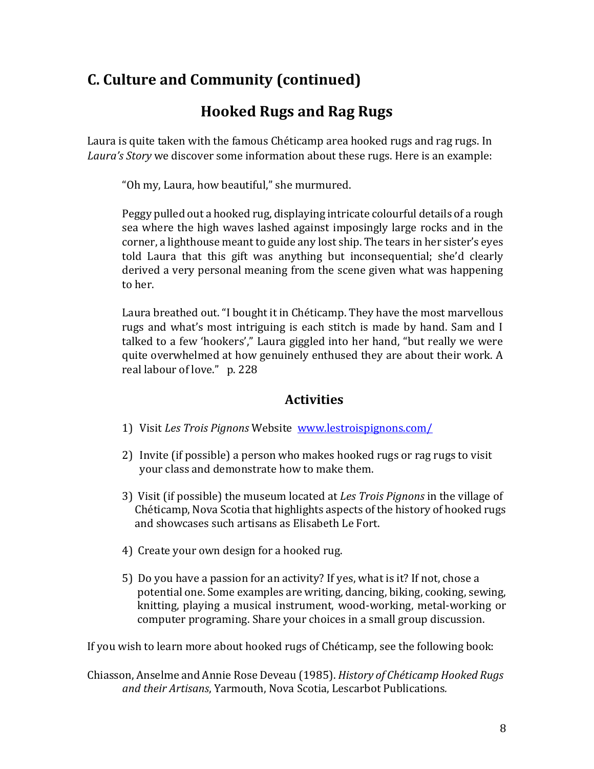## **Hooked Rugs and Rag Rugs**

Laura is quite taken with the famous Chéticamp area hooked rugs and rag rugs. In *Laura's Story* we discover some information about these rugs. Here is an example:

"Oh my, Laura, how beautiful," she murmured.

Peggy pulled out a hooked rug, displaying intricate colourful details of a rough sea where the high waves lashed against imposingly large rocks and in the corner, a lighthouse meant to guide any lost ship. The tears in her sister's eyes told Laura that this gift was anything but inconsequential; she'd clearly derived a very personal meaning from the scene given what was happening to her.

Laura breathed out. "I bought it in Chéticamp. They have the most marvellous rugs and what's most intriguing is each stitch is made by hand. Sam and I talked to a few 'hookers'," Laura giggled into her hand, "but really we were quite overwhelmed at how genuinely enthused they are about their work. A real labour of love." p. 228

### **Activities**

- 1) Visit *Les Trois Pignons* Website [www.lestroispignons.com/](http://www.lestroispignns.com/)
- 2) Invite (if possible) a person who makes hooked rugs or rag rugs to visit your class and demonstrate how to make them.
- 3) Visit (if possible) the museum located at *Les Trois Pignons* in the village of Chéticamp, Nova Scotia that highlights aspects of the history of hooked rugs and showcases such artisans as Elisabeth Le Fort.
- 4) Create your own design for a hooked rug.
- 5) Do you have a passion for an activity? If yes, what is it? If not, chose a potential one. Some examples are writing, dancing, biking, cooking, sewing, knitting, playing a musical instrument, wood-working, metal-working or computer programing. Share your choices in a small group discussion.

If you wish to learn more about hooked rugs of Chéticamp, see the following book:

Chiasson, Anselme and Annie Rose Deveau (1985). *History of Chéticamp Hooked Rugs and their Artisans*, Yarmouth, Nova Scotia, Lescarbot Publications*.*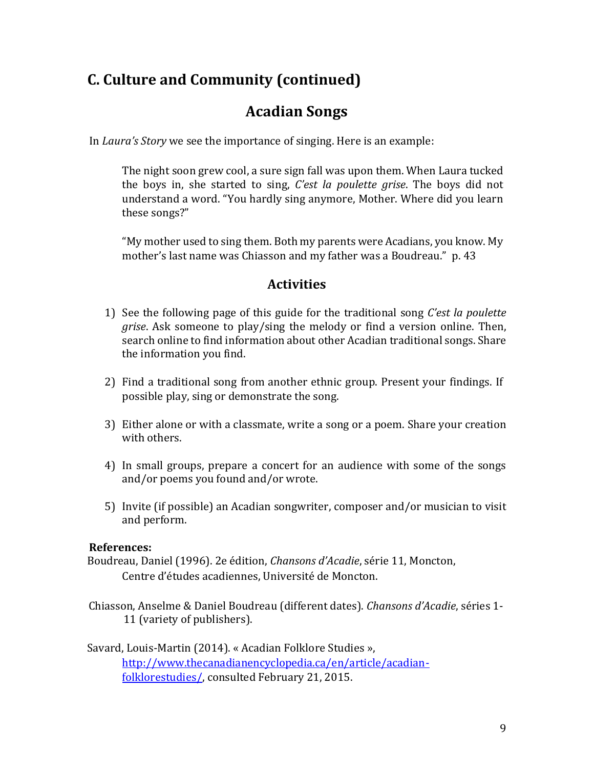### **Acadian Songs**

In *Laura's Story* we see the importance of singing. Here is an example:

The night soon grew cool, a sure sign fall was upon them. When Laura tucked the boys in, she started to sing, *C'est la poulette grise*. The boys did not understand a word. "You hardly sing anymore, Mother. Where did you learn these songs?"

"My mother used to sing them. Both my parents were Acadians, you know. My mother's last name was Chiasson and my father was a Boudreau." p. 43

### **Activities**

- 1) See the following page of this guide for the traditional song *C'est la poulette grise*. Ask someone to play/sing the melody or find a version online. Then, search online to find information about other Acadian traditional songs. Share the information you find.
- 2) Find a traditional song from another ethnic group. Present your findings. If possible play, sing or demonstrate the song.
- 3) Either alone or with a classmate, write a song or a poem. Share your creation with others.
- 4) In small groups, prepare a concert for an audience with some of the songs and/or poems you found and/or wrote.
- 5) Invite (if possible) an Acadian songwriter, composer and/or musician to visit and perform.

#### **References:**

Boudreau, Daniel (1996). 2e édition, *Chansons d'Acadie*, série 11, Moncton, Centre d'études acadiennes, Université de Moncton.

Chiasson, Anselme & Daniel Boudreau (different dates). *Chansons d'Acadie*, séries 1- 11 (variety of publishers).

#### Savard, Louis-Martin (2014). « Acadian Folklore Studies », [http://www.thecanadianencyclopedia.ca/en/article/acadian](http://www.thecanadianencyclopedia.ca/en/article/acadian-folklore-studies/)[folklorestudies/,](http://www.thecanadianencyclopedia.ca/en/article/acadian-folklore-studies/) consulted February 21, 2015.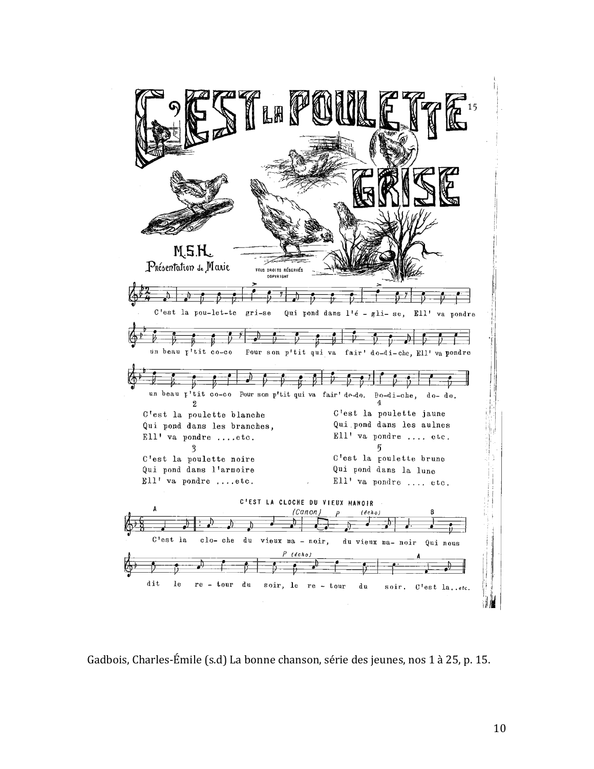| 仏冊                                                                                                                                                                                                                                                                                                                              | 15                            |
|---------------------------------------------------------------------------------------------------------------------------------------------------------------------------------------------------------------------------------------------------------------------------------------------------------------------------------|-------------------------------|
| M.S.H.<br>$P$ nésentation 1. Maxie<br>TOUS DROITS RÉSERVÉS<br><b>COPYRIGHT</b>                                                                                                                                                                                                                                                  |                               |
| C'est la pou-let-te gri-se Qui pond dans l'é - gli-se, Ell' va pondre<br>и<br>un beau p'tit co-co Pour son p'tit qui va fair' do-di-che, Ell' va pondre<br>$\nu$ $\nu$ $\nu$<br>$-\nu$ $\nu$ $\rightarrow$ $+$<br>un beau p'tit co-co Pour son p'tit qui va fair' do-do. Do-di-che, do- do.                                     |                               |
| 9.<br>C'est la poulette jaune<br>C'est la poulette blanche<br>Qui pond dans les aulnes<br>Qui pond dans les branches,<br>Ell' va pondre  etc.<br>Ell' va pondre etc.<br>C'est la poulette brune<br>C'est la poulette noire<br>Qui pond dans la lune<br>Qui pond dans l'armoire<br>$Ell'$ va pondre etc.<br>Ell' va pondre  etc. |                               |
| C'EST LA CLOCHE DU VIEUX MANOIR<br>(Canon)<br>(echo)<br>C'est la<br>clo-che<br>du<br>vieux ma - $noir,$<br>du vieux ma- noir<br>$P$ (dcho)<br>dit<br>le<br>$re - tour$<br>d u<br>soir, le re - tour<br>du<br>soir.                                                                                                              | 8<br>Qui nous<br>C'est laetc. |

Gadbois, Charles-Émile (s.d) La bonne chanson, série des jeunes, nos 1 à 25, p. 15.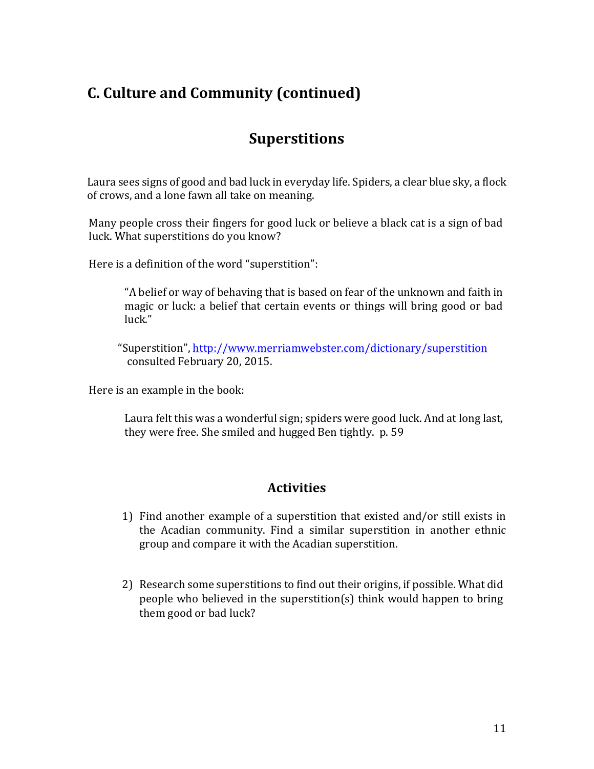### **Superstitions**

Laura sees signs of good and bad luck in everyday life. Spiders, a clear blue sky, a flock of crows, and a lone fawn all take on meaning.

Many people cross their fingers for good luck or believe a black cat is a sign of bad luck. What superstitions do you know?

Here is a definition of the word "superstition":

"A belief or way of behaving that is based on fear of the unknown and faith in magic or luck: a belief that certain events or things will bring good or bad luck."

"Superstition", <http://www.merriamwebster.com/dictionary/superstition> consulted February 20, 2015.

Here is an example in the book:

Laura felt this was a wonderful sign; spiders were good luck. And at long last, they were free. She smiled and hugged Ben tightly. p. 59

### **Activities**

- 1) Find another example of a superstition that existed and/or still exists in the Acadian community. Find a similar superstition in another ethnic group and compare it with the Acadian superstition.
- 2) Research some superstitions to find out their origins, if possible. What did people who believed in the superstition(s) think would happen to bring them good or bad luck?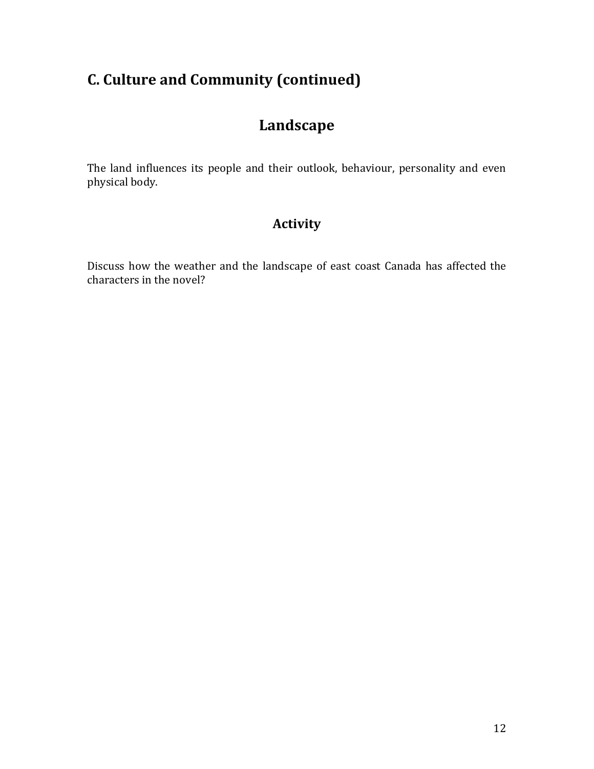## **Landscape**

The land influences its people and their outlook, behaviour, personality and even physical body.

### **Activity**

Discuss how the weather and the landscape of east coast Canada has affected the characters in the novel?